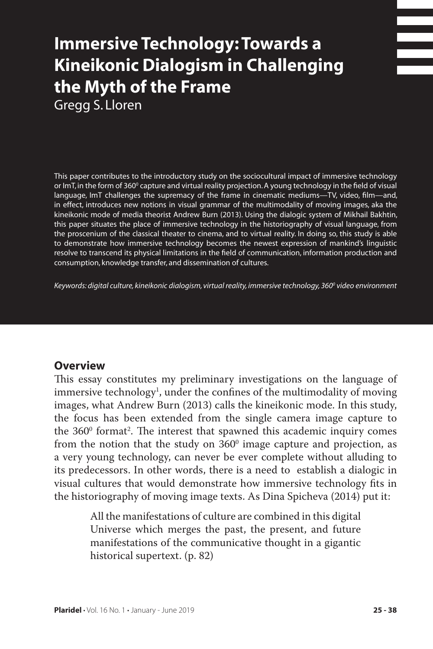# **Immersive Technology: Towards a Kineikonic Dialogism in Challenging the Myth of the Frame**

Gregg S. Lloren

This paper contributes to the introductory study on the sociocultural impact of immersive technology or ImT, in the form of 360º capture and virtual reality projection. A young technology in the field of visual language, ImT challenges the supremacy of the frame in cinematic mediums—TV, video, film—and, in effect, introduces new notions in visual grammar of the multimodality of moving images, aka the kineikonic mode of media theorist Andrew Burn (2013). Using the dialogic system of Mikhail Bakhtin, this paper situates the place of immersive technology in the historiography of visual language, from the proscenium of the classical theater to cinema, and to virtual reality. In doing so, this study is able to demonstrate how immersive technology becomes the newest expression of mankind's linguistic resolve to transcend its physical limitations in the field of communication, information production and consumption, knowledge transfer, and dissemination of cultures.

*Keywords: digital culture, kineikonic dialogism, virtual reality, immersive technology, 3600 video environment*

# **Overview**

This essay constitutes my preliminary investigations on the language of immersive technology<sup>1</sup>, under the confines of the multimodality of moving images, what Andrew Burn (2013) calls the kineikonic mode. In this study, the focus has been extended from the single camera image capture to the 360° format<sup>2</sup>. The interest that spawned this academic inquiry comes from the notion that the study on  $360^{\circ}$  image capture and projection, as a very young technology, can never be ever complete without alluding to its predecessors. In other words, there is a need to establish a dialogic in visual cultures that would demonstrate how immersive technology fits in the historiography of moving image texts. As Dina Spicheva (2014) put it:

> All the manifestations of culture are combined in this digital Universe which merges the past, the present, and future manifestations of the communicative thought in a gigantic historical supertext. (p. 82)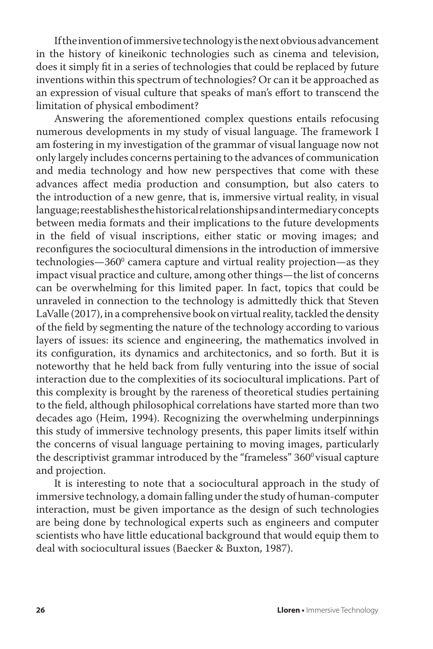If the invention of immersive technology is the next obvious advancement in the history of kineikonic technologies such as cinema and television, does it simply fit in a series of technologies that could be replaced by future inventions within this spectrum of technologies? Or can it be approached as an expression of visual culture that speaks of man's effort to transcend the limitation of physical embodiment?

Answering the aforementioned complex questions entails refocusing numerous developments in my study of visual language. The framework I am fostering in my investigation of the grammar of visual language now not only largely includes concerns pertaining to the advances of communication and media technology and how new perspectives that come with these advances affect media production and consumption, but also caters to the introduction of a new genre, that is, immersive virtual reality, in visual language; reestablishes the historical relationships and intermediary concepts between media formats and their implications to the future developments in the field of visual inscriptions, either static or moving images; and reconfigures the sociocultural dimensions in the introduction of immersive technologies—360º camera capture and virtual reality projection—as they impact visual practice and culture, among other things—the list of concerns can be overwhelming for this limited paper. In fact, topics that could be unraveled in connection to the technology is admittedly thick that Steven LaValle (2017), in a comprehensive book on virtual reality, tackled the density of the field by segmenting the nature of the technology according to various layers of issues: its science and engineering, the mathematics involved in its configuration, its dynamics and architectonics, and so forth. But it is noteworthy that he held back from fully venturing into the issue of social interaction due to the complexities of its sociocultural implications. Part of this complexity is brought by the rareness of theoretical studies pertaining to the field, although philosophical correlations have started more than two decades ago (Heim, 1994). Recognizing the overwhelming underpinnings this study of immersive technology presents, this paper limits itself within the concerns of visual language pertaining to moving images, particularly the descriptivist grammar introduced by the "frameless"  $360^{\circ}$  visual capture and projection.

It is interesting to note that a sociocultural approach in the study of immersive technology, a domain falling under the study of human-computer interaction, must be given importance as the design of such technologies are being done by technological experts such as engineers and computer scientists who have little educational background that would equip them to deal with sociocultural issues (Baecker & Buxton, 1987).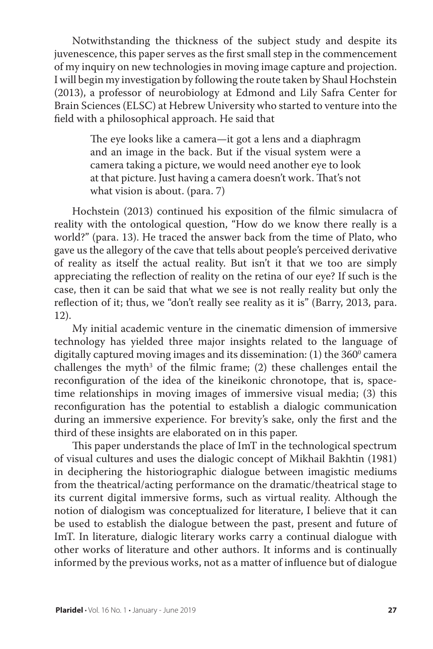Notwithstanding the thickness of the subject study and despite its juvenescence, this paper serves as the first small step in the commencement of my inquiry on new technologies in moving image capture and projection. I will begin my investigation by following the route taken by Shaul Hochstein (2013), a professor of neurobiology at Edmond and Lily Safra Center for Brain Sciences (ELSC) at Hebrew University who started to venture into the field with a philosophical approach. He said that

> The eye looks like a camera—it got a lens and a diaphragm and an image in the back. But if the visual system were a camera taking a picture, we would need another eye to look at that picture. Just having a camera doesn't work. That's not what vision is about. (para. 7)

Hochstein (2013) continued his exposition of the filmic simulacra of reality with the ontological question, "How do we know there really is a world?" (para. 13). He traced the answer back from the time of Plato, who gave us the allegory of the cave that tells about people's perceived derivative of reality as itself the actual reality. But isn't it that we too are simply appreciating the reflection of reality on the retina of our eye? If such is the case, then it can be said that what we see is not really reality but only the reflection of it; thus, we "don't really see reality as it is" (Barry, 2013, para. 12).

My initial academic venture in the cinematic dimension of immersive technology has yielded three major insights related to the language of digitally captured moving images and its dissemination: (1) the  $360^{\rm o}$  camera challenges the myth<sup>3</sup> of the filmic frame; (2) these challenges entail the reconfiguration of the idea of the kineikonic chronotope, that is, spacetime relationships in moving images of immersive visual media; (3) this reconfiguration has the potential to establish a dialogic communication during an immersive experience. For brevity's sake, only the first and the third of these insights are elaborated on in this paper.

This paper understands the place of ImT in the technological spectrum of visual cultures and uses the dialogic concept of Mikhail Bakhtin (1981) in deciphering the historiographic dialogue between imagistic mediums from the theatrical/acting performance on the dramatic/theatrical stage to its current digital immersive forms, such as virtual reality. Although the notion of dialogism was conceptualized for literature, I believe that it can be used to establish the dialogue between the past, present and future of ImT. In literature, dialogic literary works carry a continual dialogue with other works of literature and other authors. It informs and is continually informed by the previous works, not as a matter of influence but of dialogue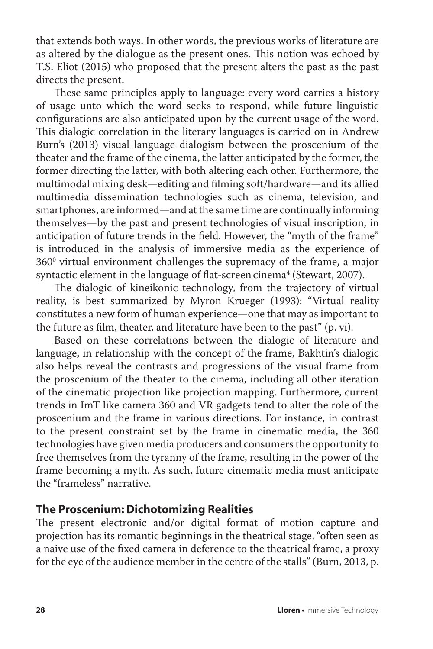that extends both ways. In other words, the previous works of literature are as altered by the dialogue as the present ones. This notion was echoed by T.S. Eliot (2015) who proposed that the present alters the past as the past directs the present.

These same principles apply to language: every word carries a history of usage unto which the word seeks to respond, while future linguistic configurations are also anticipated upon by the current usage of the word. This dialogic correlation in the literary languages is carried on in Andrew Burn's (2013) visual language dialogism between the proscenium of the theater and the frame of the cinema, the latter anticipated by the former, the former directing the latter, with both altering each other. Furthermore, the multimodal mixing desk—editing and filming soft/hardware—and its allied multimedia dissemination technologies such as cinema, television, and smartphones, are informed—and at the same time are continually informing themselves—by the past and present technologies of visual inscription, in anticipation of future trends in the field. However, the "myth of the frame" is introduced in the analysis of immersive media as the experience of  $360^{\circ}$  virtual environment challenges the supremacy of the frame, a major syntactic element in the language of flat-screen cinema $^{\rm 4}$  (Stewart, 2007).

The dialogic of kineikonic technology, from the trajectory of virtual reality, is best summarized by Myron Krueger (1993): "Virtual reality constitutes a new form of human experience—one that may as important to the future as film, theater, and literature have been to the past" (p. vi).

Based on these correlations between the dialogic of literature and language, in relationship with the concept of the frame, Bakhtin's dialogic also helps reveal the contrasts and progressions of the visual frame from the proscenium of the theater to the cinema, including all other iteration of the cinematic projection like projection mapping. Furthermore, current trends in ImT like camera 360 and VR gadgets tend to alter the role of the proscenium and the frame in various directions. For instance, in contrast to the present constraint set by the frame in cinematic media, the 360 technologies have given media producers and consumers the opportunity to free themselves from the tyranny of the frame, resulting in the power of the frame becoming a myth. As such, future cinematic media must anticipate the "frameless" narrative.

#### **The Proscenium: Dichotomizing Realities**

The present electronic and/or digital format of motion capture and projection has its romantic beginnings in the theatrical stage, "often seen as a naive use of the fixed camera in deference to the theatrical frame, a proxy for the eye of the audience member in the centre of the stalls" (Burn, 2013, p.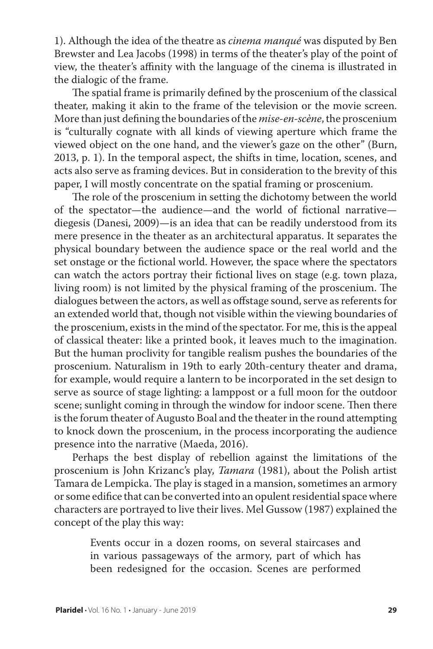1). Although the idea of the theatre as *cinema manqué* was disputed by Ben Brewster and Lea Jacobs (1998) in terms of the theater's play of the point of view, the theater's affinity with the language of the cinema is illustrated in the dialogic of the frame.

The spatial frame is primarily defined by the proscenium of the classical theater, making it akin to the frame of the television or the movie screen. More than just defining the boundaries of the *mise-en-scène*, the proscenium is "culturally cognate with all kinds of viewing aperture which frame the viewed object on the one hand, and the viewer's gaze on the other" (Burn, 2013, p. 1). In the temporal aspect, the shifts in time, location, scenes, and acts also serve as framing devices. But in consideration to the brevity of this paper, I will mostly concentrate on the spatial framing or proscenium.

The role of the proscenium in setting the dichotomy between the world of the spectator—the audience—and the world of fictional narrative diegesis (Danesi, 2009)—is an idea that can be readily understood from its mere presence in the theater as an architectural apparatus. It separates the physical boundary between the audience space or the real world and the set onstage or the fictional world. However, the space where the spectators can watch the actors portray their fictional lives on stage (e.g. town plaza, living room) is not limited by the physical framing of the proscenium. The dialogues between the actors, as well as offstage sound, serve as referents for an extended world that, though not visible within the viewing boundaries of the proscenium, exists in the mind of the spectator. For me, this is the appeal of classical theater: like a printed book, it leaves much to the imagination. But the human proclivity for tangible realism pushes the boundaries of the proscenium. Naturalism in 19th to early 20th-century theater and drama, for example, would require a lantern to be incorporated in the set design to serve as source of stage lighting: a lamppost or a full moon for the outdoor scene; sunlight coming in through the window for indoor scene. Then there is the forum theater of Augusto Boal and the theater in the round attempting to knock down the proscenium, in the process incorporating the audience presence into the narrative (Maeda, 2016).

Perhaps the best display of rebellion against the limitations of the proscenium is John Krizanc's play, *Tamara* (1981), about the Polish artist Tamara de Lempicka. The play is staged in a mansion, sometimes an armory or some edifice that can be converted into an opulent residential space where characters are portrayed to live their lives. Mel Gussow (1987) explained the concept of the play this way:

> Events occur in a dozen rooms, on several staircases and in various passageways of the armory, part of which has been redesigned for the occasion. Scenes are performed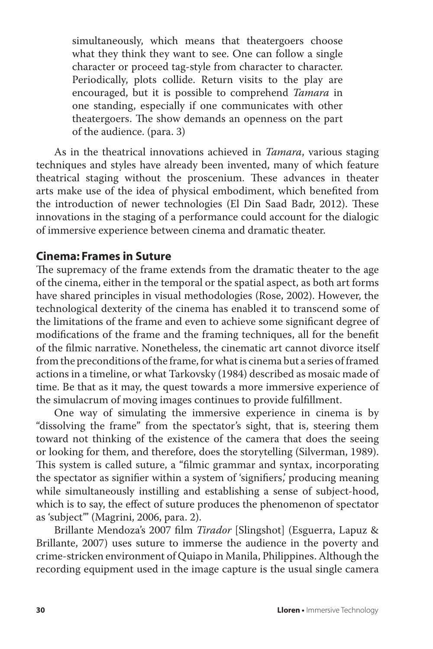simultaneously, which means that theatergoers choose what they think they want to see. One can follow a single character or proceed tag-style from character to character. Periodically, plots collide. Return visits to the play are encouraged, but it is possible to comprehend *Tamara* in one standing, especially if one communicates with other theatergoers. The show demands an openness on the part of the audience. (para. 3)

As in the theatrical innovations achieved in *Tamara*, various staging techniques and styles have already been invented, many of which feature theatrical staging without the proscenium. These advances in theater arts make use of the idea of physical embodiment, which benefited from the introduction of newer technologies (El Din Saad Badr, 2012). These innovations in the staging of a performance could account for the dialogic of immersive experience between cinema and dramatic theater.

## **Cinema: Frames in Suture**

The supremacy of the frame extends from the dramatic theater to the age of the cinema, either in the temporal or the spatial aspect, as both art forms have shared principles in visual methodologies (Rose, 2002). However, the technological dexterity of the cinema has enabled it to transcend some of the limitations of the frame and even to achieve some significant degree of modifications of the frame and the framing techniques, all for the benefit of the filmic narrative. Nonetheless, the cinematic art cannot divorce itself from the preconditions of the frame, for what is cinema but a series of framed actions in a timeline, or what Tarkovsky (1984) described as mosaic made of time. Be that as it may, the quest towards a more immersive experience of the simulacrum of moving images continues to provide fulfillment.

One way of simulating the immersive experience in cinema is by "dissolving the frame" from the spectator's sight, that is, steering them toward not thinking of the existence of the camera that does the seeing or looking for them, and therefore, does the storytelling (Silverman, 1989). This system is called suture, a "filmic grammar and syntax, incorporating the spectator as signifier within a system of 'signifiers,' producing meaning while simultaneously instilling and establishing a sense of subject-hood, which is to say, the effect of suture produces the phenomenon of spectator as 'subject'" (Magrini, 2006, para. 2).

Brillante Mendoza's 2007 film *Tirador* [Slingshot] (Esguerra, Lapuz & Brillante, 2007) uses suture to immerse the audience in the poverty and crime-stricken environment of Quiapo in Manila, Philippines. Although the recording equipment used in the image capture is the usual single camera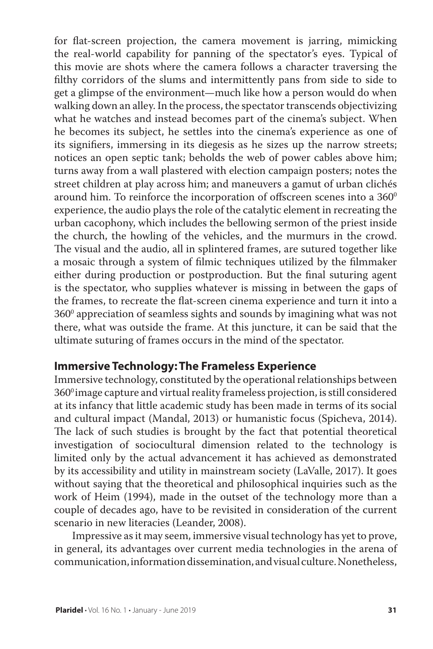for flat-screen projection, the camera movement is jarring, mimicking the real-world capability for panning of the spectator's eyes. Typical of this movie are shots where the camera follows a character traversing the filthy corridors of the slums and intermittently pans from side to side to get a glimpse of the environment—much like how a person would do when walking down an alley. In the process, the spectator transcends objectivizing what he watches and instead becomes part of the cinema's subject. When he becomes its subject, he settles into the cinema's experience as one of its signifiers, immersing in its diegesis as he sizes up the narrow streets; notices an open septic tank; beholds the web of power cables above him; turns away from a wall plastered with election campaign posters; notes the street children at play across him; and maneuvers a gamut of urban clichés around him. To reinforce the incorporation of offscreen scenes into a  $360^{\circ}$ experience, the audio plays the role of the catalytic element in recreating the urban cacophony, which includes the bellowing sermon of the priest inside the church, the howling of the vehicles, and the murmurs in the crowd. The visual and the audio, all in splintered frames, are sutured together like a mosaic through a system of filmic techniques utilized by the filmmaker either during production or postproduction. But the final suturing agent is the spectator, who supplies whatever is missing in between the gaps of the frames, to recreate the flat-screen cinema experience and turn it into a  $360^{\rm o}$  appreciation of seamless sights and sounds by imagining what was not there, what was outside the frame. At this juncture, it can be said that the ultimate suturing of frames occurs in the mind of the spectator.

### **Immersive Technology: The Frameless Experience**

Immersive technology, constituted by the operational relationships between 360<sup>0</sup> image capture and virtual reality frameless projection, is still considered at its infancy that little academic study has been made in terms of its social and cultural impact (Mandal, 2013) or humanistic focus (Spicheva, 2014). The lack of such studies is brought by the fact that potential theoretical investigation of sociocultural dimension related to the technology is limited only by the actual advancement it has achieved as demonstrated by its accessibility and utility in mainstream society (LaValle, 2017). It goes without saying that the theoretical and philosophical inquiries such as the work of Heim (1994), made in the outset of the technology more than a couple of decades ago, have to be revisited in consideration of the current scenario in new literacies (Leander, 2008).

Impressive as it may seem, immersive visual technology has yet to prove, in general, its advantages over current media technologies in the arena of communication, information dissemination, and visual culture. Nonetheless,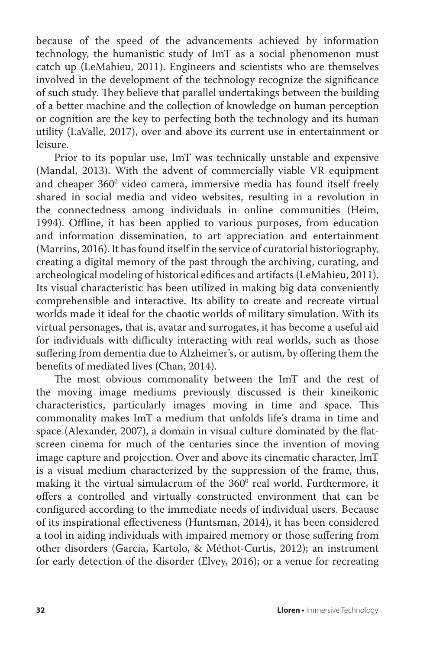because of the speed of the advancements achieved by information technology, the humanistic study of ImT as a social phenomenon must catch up (LeMahieu, 2011). Engineers and scientists who are themselves involved in the development of the technology recognize the significance of such study. They believe that parallel undertakings between the building of a better machine and the collection of knowledge on human perception or cognition are the key to perfecting both the technology and its human utility (LaValle, 2017), over and above its current use in entertainment or leisure.

Prior to its popular use, ImT was technically unstable and expensive (Mandal, 2013). With the advent of commercially viable VR equipment and cheaper 360 $^{\rm o}$  video camera, immersive media has found itself freely shared in social media and video websites, resulting in a revolution in the connectedness among individuals in online communities (Heim, 1994). Offline, it has been applied to various purposes, from education and information dissemination, to art appreciation and entertainment (Marrins, 2016). It has found itself in the service of curatorial historiography, creating a digital memory of the past through the archiving, curating, and archeological modeling of historical edifices and artifacts (LeMahieu, 2011). Its visual characteristic has been utilized in making big data conveniently comprehensible and interactive. Its ability to create and recreate virtual worlds made it ideal for the chaotic worlds of military simulation. With its virtual personages, that is, avatar and surrogates, it has become a useful aid for individuals with difficulty interacting with real worlds, such as those suffering from dementia due to Alzheimer's, or autism, by offering them the benefits of mediated lives (Chan, 2014).

The most obvious commonality between the ImT and the rest of the moving image mediums previously discussed is their kineikonic characteristics, particularly images moving in time and space. This commonality makes ImT a medium that unfolds life's drama in time and space (Alexander, 2007), a domain in visual culture dominated by the flatscreen cinema for much of the centuries since the invention of moving image capture and projection. Over and above its cinematic character, ImT is a visual medium characterized by the suppression of the frame, thus, making it the virtual simulacrum of the  $360^{\circ}$  real world. Furthermore, it offers a controlled and virtually constructed environment that can be configured according to the immediate needs of individual users. Because of its inspirational effectiveness (Huntsman, 2014), it has been considered a tool in aiding individuals with impaired memory or those suffering from other disorders (Garcia, Kartolo, & Méthot-Curtis, 2012); an instrument for early detection of the disorder (Elvey, 2016); or a venue for recreating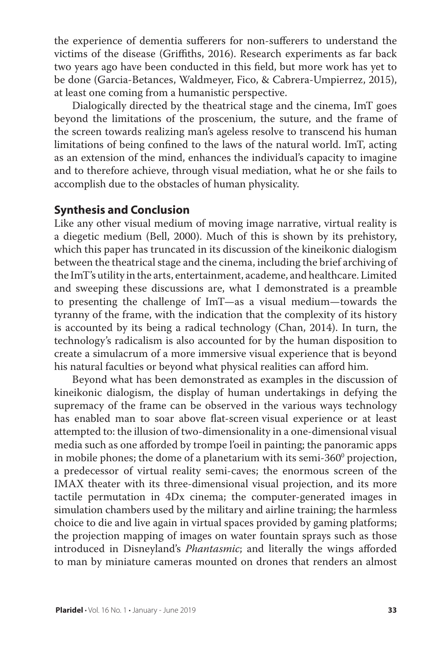the experience of dementia sufferers for non-sufferers to understand the victims of the disease (Griffiths, 2016). Research experiments as far back two years ago have been conducted in this field, but more work has yet to be done (Garcia-Betances, Waldmeyer, Fico, & Cabrera-Umpierrez, 2015), at least one coming from a humanistic perspective.

Dialogically directed by the theatrical stage and the cinema, ImT goes beyond the limitations of the proscenium, the suture, and the frame of the screen towards realizing man's ageless resolve to transcend his human limitations of being confined to the laws of the natural world. ImT, acting as an extension of the mind, enhances the individual's capacity to imagine and to therefore achieve, through visual mediation, what he or she fails to accomplish due to the obstacles of human physicality.

#### **Synthesis and Conclusion**

Like any other visual medium of moving image narrative, virtual reality is a diegetic medium (Bell, 2000). Much of this is shown by its prehistory, which this paper has truncated in its discussion of the kineikonic dialogism between the theatrical stage and the cinema, including the brief archiving of the ImT's utility in the arts, entertainment, academe, and healthcare. Limited and sweeping these discussions are, what I demonstrated is a preamble to presenting the challenge of ImT—as a visual medium—towards the tyranny of the frame, with the indication that the complexity of its history is accounted by its being a radical technology (Chan, 2014). In turn, the technology's radicalism is also accounted for by the human disposition to create a simulacrum of a more immersive visual experience that is beyond his natural faculties or beyond what physical realities can afford him.

Beyond what has been demonstrated as examples in the discussion of kineikonic dialogism, the display of human undertakings in defying the supremacy of the frame can be observed in the various ways technology has enabled man to soar above flat-screen visual experience or at least attempted to: the illusion of two-dimensionality in a one-dimensional visual media such as one afforded by trompe l'oeil in painting; the panoramic apps in mobile phones; the dome of a planetarium with its semi-360 $^{\rm o}$  projection, a predecessor of virtual reality semi-caves; the enormous screen of the IMAX theater with its three-dimensional visual projection, and its more tactile permutation in 4Dx cinema; the computer-generated images in simulation chambers used by the military and airline training; the harmless choice to die and live again in virtual spaces provided by gaming platforms; the projection mapping of images on water fountain sprays such as those introduced in Disneyland's *Phantasmic*; and literally the wings afforded to man by miniature cameras mounted on drones that renders an almost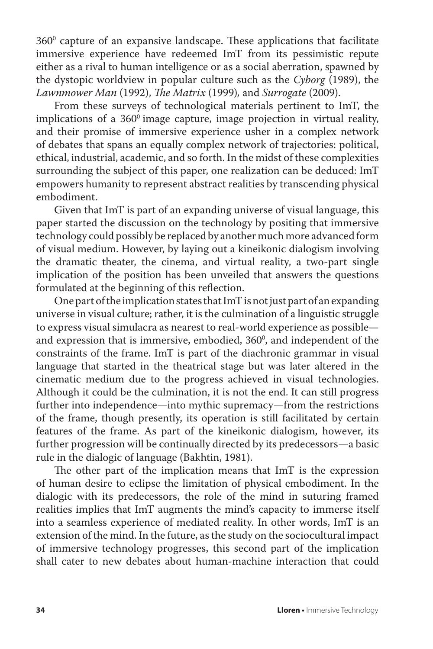$360^{\circ}$  capture of an expansive landscape. These applications that facilitate immersive experience have redeemed ImT from its pessimistic repute either as a rival to human intelligence or as a social aberration, spawned by the dystopic worldview in popular culture such as the *Cyborg* (1989), the *Lawnmower Man* (1992), *The Matrix* (1999)*,* and *Surrogate* (2009).

From these surveys of technological materials pertinent to ImT, the implications of a  $360^\circ$  image capture, image projection in virtual reality, and their promise of immersive experience usher in a complex network of debates that spans an equally complex network of trajectories: political, ethical, industrial, academic, and so forth. In the midst of these complexities surrounding the subject of this paper, one realization can be deduced: ImT empowers humanity to represent abstract realities by transcending physical embodiment.

Given that ImT is part of an expanding universe of visual language, this paper started the discussion on the technology by positing that immersive technology could possibly be replaced by another much more advanced form of visual medium. However, by laying out a kineikonic dialogism involving the dramatic theater, the cinema, and virtual reality, a two-part single implication of the position has been unveiled that answers the questions formulated at the beginning of this reflection.

One part of the implication states that ImT is not just part of an expanding universe in visual culture; rather, it is the culmination of a linguistic struggle to express visual simulacra as nearest to real-world experience as possible and expression that is immersive, embodied,  $360^{\circ}$ , and independent of the constraints of the frame. ImT is part of the diachronic grammar in visual language that started in the theatrical stage but was later altered in the cinematic medium due to the progress achieved in visual technologies. Although it could be the culmination, it is not the end. It can still progress further into independence—into mythic supremacy—from the restrictions of the frame, though presently, its operation is still facilitated by certain features of the frame. As part of the kineikonic dialogism, however, its further progression will be continually directed by its predecessors—a basic rule in the dialogic of language (Bakhtin, 1981).

The other part of the implication means that ImT is the expression of human desire to eclipse the limitation of physical embodiment. In the dialogic with its predecessors, the role of the mind in suturing framed realities implies that ImT augments the mind's capacity to immerse itself into a seamless experience of mediated reality. In other words, ImT is an extension of the mind. In the future, as the study on the sociocultural impact of immersive technology progresses, this second part of the implication shall cater to new debates about human-machine interaction that could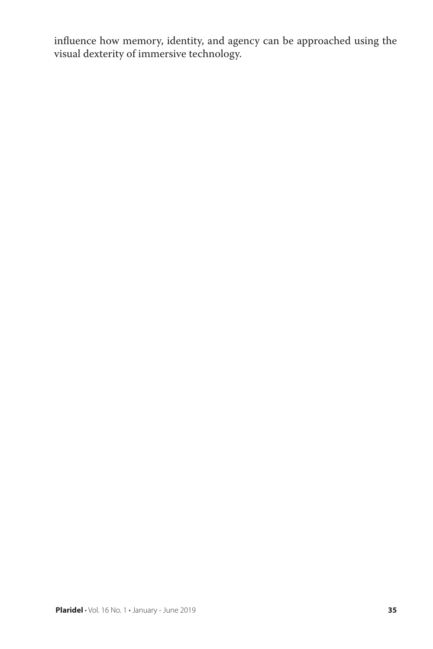influence how memory, identity, and agency can be approached using the visual dexterity of immersive technology.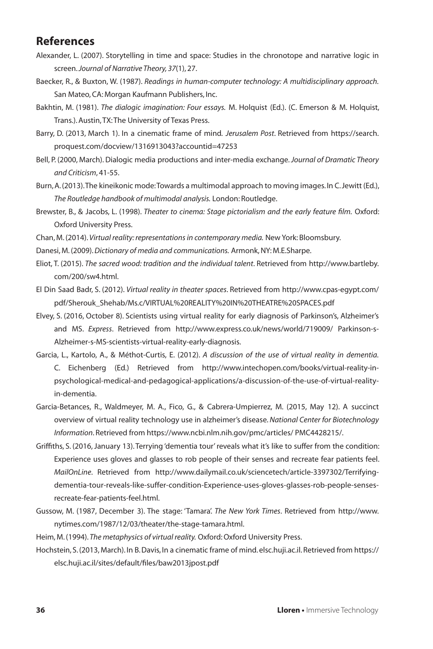### **References**

- Alexander, L. (2007). Storytelling in time and space: Studies in the chronotope and narrative logic in screen. *Journal of Narrative Theory, 37*(1), 27.
- Baecker, R., & Buxton, W. (1987). *Readings in human-computer technology: A multidisciplinary approach.* San Mateo, CA: Morgan Kaufmann Publishers, Inc.
- Bakhtin, M. (1981). *The dialogic imagination: Four essays.* M. Holquist (Ed.). (C. Emerson & M. Holquist, Trans.). Austin, TX: The University of Texas Press.
- Barry, D. (2013, March 1). In a cinematic frame of mind*. Jerusalem Post*. Retrieved from https://search. proquest.com/docview/1316913043?accountid=47253
- Bell, P. (2000, March). Dialogic media productions and inter-media exchange. *Journal of Dramatic Theory and Criticism*, 41-55.
- Burn, A. (2013). The kineikonic mode: Towards a multimodal approach to moving images. In C. Jewitt (Ed.), *The Routledge handbook of multimodal analysis.* London: Routledge.
- Brewster, B., & Jacobs, L. (1998). *Theater to cinema: Stage pictorialism and the early feature film.* Oxford: Oxford University Press.
- Chan, M. (2014). *Virtual reality: representations in contemporary media.* New York: Bloomsbury.
- Danesi, M. (2009). *Dictionary of media and communications.* Armonk, NY: M.E.Sharpe.
- Eliot, T. (2015). *The sacred wood: tradition and the individual talent*. Retrieved from http://www.bartleby. com/200/sw4.html.
- El Din Saad Badr, S. (2012). *Virtual reality in theater spaces*. Retrieved from http://www.cpas-egypt.com/ pdf/Sherouk\_Shehab/Ms.c/VIRTUAL%20REALITY%20IN%20THEATRE%20SPACES.pdf
- Elvey, S. (2016, October 8). Scientists using virtual reality for early diagnosis of Parkinson's, Alzheimer's and MS. *Express*. Retrieved from http://www.express.co.uk/news/world/719009/ Parkinson-s-Alzheimer-s-MS-scientists-virtual-reality-early-diagnosis.
- Garcia, L., Kartolo, A., & Méthot-Curtis, E. (2012). *A discussion of the use of virtual reality in dementia.* C. Eichenberg (Ed.) Retrieved from http://www.intechopen.com/books/virtual-reality-inpsychological-medical-and-pedagogical-applications/a-discussion-of-the-use-of-virtual-realityin-dementia.
- Garcia-Betances, R., Waldmeyer, M. A., Fico, G., & Cabrera-Umpierrez, M. (2015, May 12). A succinct overview of virtual reality technology use in alzheimer's disease. *National Center for Biotechnology Information*. Retrieved from https://www.ncbi.nlm.nih.gov/pmc/articles/ PMC4428215/.
- Griffiths, S. (2016, January 13). Terrying 'dementia tour' reveals what it's like to suffer from the condition: Experience uses gloves and glasses to rob people of their senses and recreate fear patients feel. *MailOnLine*. Retrieved from http://www.dailymail.co.uk/sciencetech/article-3397302/Terrifyingdementia-tour-reveals-like-suffer-condition-Experience-uses-gloves-glasses-rob-people-sensesrecreate-fear-patients-feel.html.
- Gussow, M. (1987, December 3). The stage: 'Tamara'. *The New York Times*. Retrieved from http://www. nytimes.com/1987/12/03/theater/the-stage-tamara.html.
- Heim, M. (1994). *The metaphysics of virtual reality.* Oxford: Oxford University Press.
- Hochstein, S. (2013, March). In B. Davis, In a cinematic frame of mind. elsc.huji.ac.il. Retrieved from https:// elsc.huji.ac.il/sites/default/files/baw2013jpost.pdf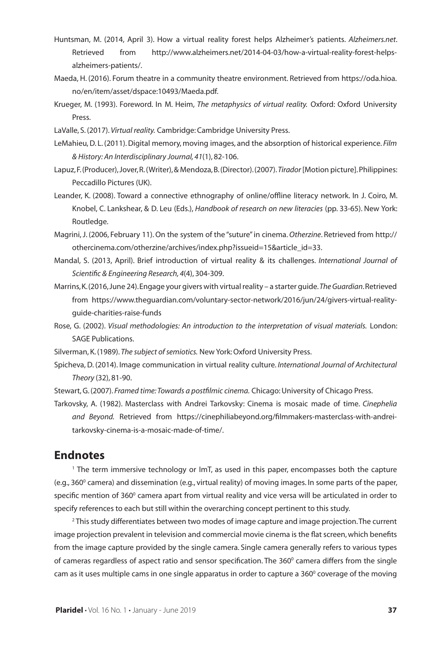- Huntsman, M. (2014, April 3). How a virtual reality forest helps Alzheimer's patients. *Alzheimers.net*. Retrieved from http://www.alzheimers.net/2014-04-03/how-a-virtual-reality-forest-helpsalzheimers-patients/.
- Maeda, H. (2016). Forum theatre in a community theatre environment. Retrieved from https://oda.hioa. no/en/item/asset/dspace:10493/Maeda.pdf.
- Krueger, M. (1993). Foreword. In M. Heim, *The metaphysics of virtual reality.* Oxford: Oxford University Press.
- LaValle, S. (2017). *Virtual reality.* Cambridge: Cambridge University Press.
- LeMahieu, D. L. (2011). Digital memory, moving images, and the absorption of historical experience. *Film & History: An Interdisciplinary Journal, 41*(1), 82-106.
- Lapuz, F. (Producer), Jover, R. (Writer), & Mendoza, B. (Director). (2007). *Tirador* [Motion picture]. Philippines: Peccadillo Pictures (UK).
- Leander, K. (2008). Toward a connective ethnography of online/offline literacy network. In J. Coiro, M. Knobel, C. Lankshear, & D. Leu (Eds.), *Handbook of research on new literacies* (pp. 33-65). New York: Routledge.
- Magrini, J. (2006, February 11). On the system of the "suture" in cinema. *Otherzine*. Retrieved from http:// othercinema.com/otherzine/archives/index.php?issueid=15&article\_id=33.
- Mandal, S. (2013, April). Brief introduction of virtual reality & its challenges. *International Journal of Scientific & Engineering Research, 4*(4), 304-309.
- Marrins, K. (2016, June 24). Engage your givers with virtual reality a starter guide. *The Guardian*. Retrieved from https://www.theguardian.com/voluntary-sector-network/2016/jun/24/givers-virtual-realityguide-charities-raise-funds
- Rose, G. (2002). *Visual methodologies: An introduction to the interpretation of visual materials.* London: SAGE Publications.
- Silverman, K. (1989). *The subject of semiotics.* New York: Oxford University Press.
- Spicheva, D. (2014). Image communication in virtual reality culture. *International Journal of Architectural Theory* (32), 81-90.
- Stewart, G. (2007). *Framed time: Towards a postfilmic cinema.* Chicago: University of Chicago Press.
- Tarkovsky, A. (1982). Masterclass with Andrei Tarkovsky: Cinema is mosaic made of time. *Cinephelia and Beyond.* Retrieved from https://cinephiliabeyond.org/filmmakers-masterclass-with-andreitarkovsky-cinema-is-a-mosaic-made-of-time/.

#### **Endnotes**

1 The term immersive technology or ImT, as used in this paper, encompasses both the capture (e.g., 360° camera) and dissemination (e.g., virtual reality) of moving images. In some parts of the paper, specific mention of 360 $^{\rm o}$  camera apart from virtual reality and vice versa will be articulated in order to specify references to each but still within the overarching concept pertinent to this study.

2 This study differentiates between two modes of image capture and image projection. The current image projection prevalent in television and commercial movie cinema is the flat screen, which benefits from the image capture provided by the single camera. Single camera generally refers to various types of cameras regardless of aspect ratio and sensor specification. The  $360^{\circ}$  camera differs from the single cam as it uses multiple cams in one single apparatus in order to capture a 360° coverage of the moving